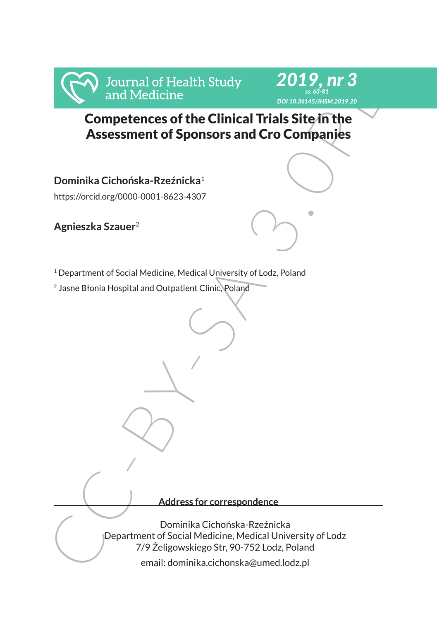



# Competences of the Clinical Trials Site in the Assessment of Sponsors and Cro Companies

**Dominika Cichońska-Rzeźnicka**<sup>1</sup>

https://orcid.org/0000-0001-8623-4307

**Agnieszka Szauer**<sup>2</sup>

<sup>1</sup> Department of Social Medicine, Medical University of Lodz, Poland

<sup>2</sup> Jasne Błonia Hospital and Outpatient Clinic, Poland

**Address for correspondence**

Frank of Health Study<br>
and Medicine<br>
Competences of the Clinical Trials Site in the<br>
Assessment of Sponsors and Cro Companies<br>
Dominika Cichońska-Rzeźnicka<sup>1</sup><br>
Nuts://orcidorg/0000-0001-8623-4307<br>
Agnieszka Szauer<sup>2</sup><br>
<sup>2</sup> Dominika Cichońska-Rzeźnicka Department of Social Medicine, Medical University of Lodz 7/9 Żeligowskiego Str, 90-752 Lodz, Poland

email: dominika.cichonska@umed.lodz.pl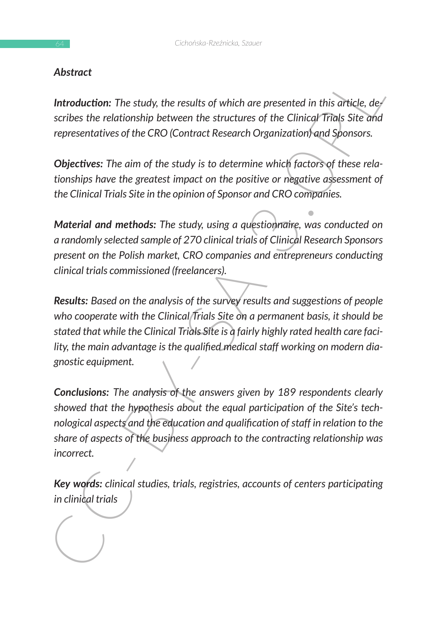#### *Abstract*

*Introduction: The study, the results of which are presented in this article, describes the relationship between the structures of the Clinical Trials Site and representatives of the CRO (Contract Research Organization) and Sponsors.*

*Objectives: The aim of the study is to determine which factors of these relationships have the greatest impact on the positive or negative assessment of the Clinical Trials Site in the opinion of Sponsor and CRO companies.* 

*Material and methods: The study, using a questionnaire, was conducted on a randomly selected sample of 270 clinical trials of Clinical Research Sponsors present on the Polish market, CRO companies and entrepreneurs conducting clinical trials commissioned (freelancers).*

Motival Controllary, the results of which are presented in this divide, de-<br>scribes the relationship between the structures of the Clinical<sup>-</sup>Trials Site and<br>representatives of the CRO (Contract Research Organization and S *Results: Based on the analysis of the survey results and suggestions of people who cooperate with the Clinical Trials Site on a permanent basis, it should be stated that while the Clinical Trials Site is a fairly highly rated health care facility, the main advantage is the qualified medical staff working on modern diagnostic equipment.*

*Conclusions: The analysis of the answers given by 189 respondents clearly showed that the hypothesis about the equal participation of the Site's technological aspects and the education and qualification of staff in relation to the share of aspects of the business approach to the contracting relationship was incorrect.*

*Key words: clinical studies, trials, registries, accounts of centers participating in clinical trials*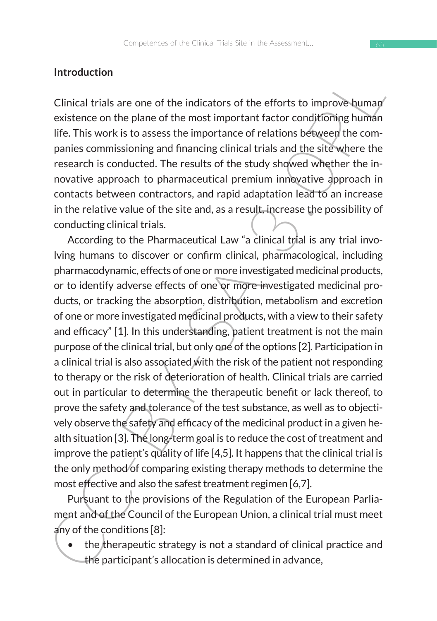#### **Introduction**

Clinical trials are one of the indicators of the efforts to improve human existence on the plane of the most important factor conditioning human life. This work is to assess the importance of relations between the companies commissioning and financing clinical trials and the site where the research is conducted. The results of the study showed whether the innovative approach to pharmaceutical premium innovative approach in contacts between contractors, and rapid adaptation lead to an increase in the relative value of the site and, as a result, increase the possibility of conducting clinical trials.

Introduction<br>
Clinical trials are one of the indicators of the efforts to improve buman<br>
existence on the plane of the most important factor conditioning humán<br>
life. This work is to assess the importance of relations bet According to the Pharmaceutical Law "a clinical trial is any trial involving humans to discover or confirm clinical, pharmacological, including pharmacodynamic, effects of one or more investigated medicinal products, or to identify adverse effects of one or more investigated medicinal products, or tracking the absorption, distribution, metabolism and excretion of one or more investigated medicinal products, with a view to their safety and efficacy" [1]. In this understanding, patient treatment is not the main purpose of the clinical trial, but only one of the options [2]. Participation in a clinical trial is also associated with the risk of the patient not responding to therapy or the risk of deterioration of health. Clinical trials are carried out in particular to determine the therapeutic benefit or lack thereof, to prove the safety and tolerance of the test substance, as well as to objectively observe the safety and efficacy of the medicinal product in a given health situation [3]. The long-term goal is to reduce the cost of treatment and improve the patient's quality of life [4,5]. It happens that the clinical trial is the only method of comparing existing therapy methods to determine the most effective and also the safest treatment regimen [6,7].

Pursuant to the provisions of the Regulation of the European Parliament and of the Council of the European Union, a clinical trial must meet any of the conditions [8]:

the therapeutic strategy is not a standard of clinical practice and the participant's allocation is determined in advance,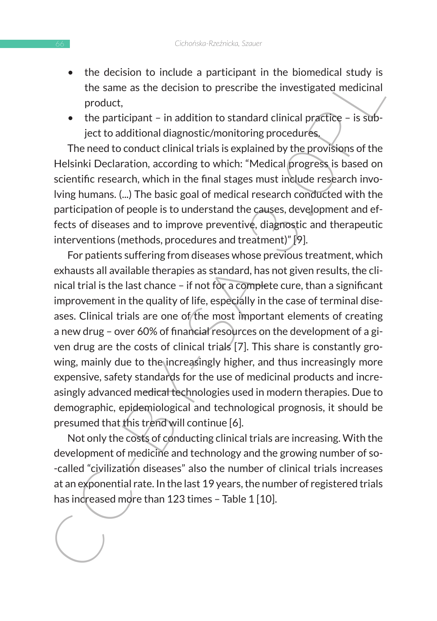- the decision to include a participant in the biomedical study is the same as the decision to prescribe the investigated medicinal product,
- the participant in addition to standard clinical practice is subject to additional diagnostic/monitoring procedures.

The need to conduct clinical trials is explained by the provisions of the Helsinki Declaration, according to which: "Medical progress is based on scientific research, which in the final stages must include research involving humans. (...) The basic goal of medical research conducted with the participation of people is to understand the causes, development and effects of diseases and to improve preventive, diagnostic and therapeutic interventions (methods, procedures and treatment)" [9].

The unitsion of unclous a participant in the unimitation of the same as the decision to prescribe the investigated medicinal<br>product,<br>the same as the decision to prescribe the investigated medicinal<br>product,<br>the tradiction For patients suffering from diseases whose previous treatment, which exhausts all available therapies as standard, has not given results, the clinical trial is the last chance – if not for a complete cure, than a significant improvement in the quality of life, especially in the case of terminal diseases. Clinical trials are one of the most important elements of creating a new drug – over 60% of financial resources on the development of a given drug are the costs of clinical trials [7]. This share is constantly growing, mainly due to the increasingly higher, and thus increasingly more expensive, safety standards for the use of medicinal products and increasingly advanced medical technologies used in modern therapies. Due to demographic, epidemiological and technological prognosis, it should be presumed that this trend will continue [6].

Not only the costs of conducting clinical trials are increasing. With the development of medicine and technology and the growing number of so- -called "civilization diseases" also the number of clinical trials increases at an exponential rate. In the last 19 years, the number of registered trials has increased more than 123 times - Table 1 [10].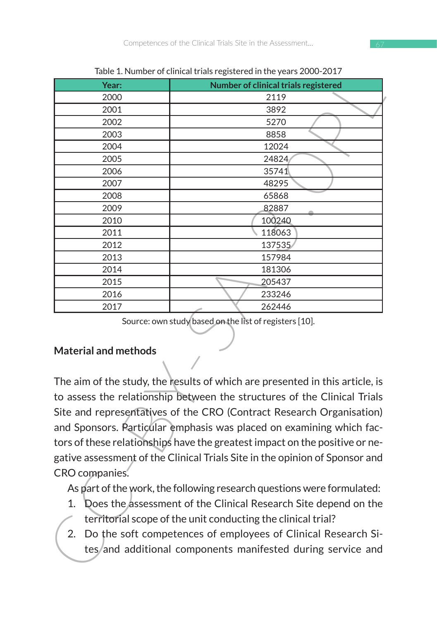| Year:                                                                                                                                                                                                                                                                                                                                                                                                    | Table 1. Number of chilical trials registered in the years 2000-2017<br>Number of clinical trials registered |  |  |  |  |  |  |  |
|----------------------------------------------------------------------------------------------------------------------------------------------------------------------------------------------------------------------------------------------------------------------------------------------------------------------------------------------------------------------------------------------------------|--------------------------------------------------------------------------------------------------------------|--|--|--|--|--|--|--|
| 2000                                                                                                                                                                                                                                                                                                                                                                                                     | 2119                                                                                                         |  |  |  |  |  |  |  |
| 2001                                                                                                                                                                                                                                                                                                                                                                                                     | 3892                                                                                                         |  |  |  |  |  |  |  |
| 2002                                                                                                                                                                                                                                                                                                                                                                                                     | 5270                                                                                                         |  |  |  |  |  |  |  |
| 2003                                                                                                                                                                                                                                                                                                                                                                                                     | 8858                                                                                                         |  |  |  |  |  |  |  |
| 2004                                                                                                                                                                                                                                                                                                                                                                                                     | 12024                                                                                                        |  |  |  |  |  |  |  |
| 2005                                                                                                                                                                                                                                                                                                                                                                                                     | 24824                                                                                                        |  |  |  |  |  |  |  |
| 2006                                                                                                                                                                                                                                                                                                                                                                                                     | 35741                                                                                                        |  |  |  |  |  |  |  |
| 2007                                                                                                                                                                                                                                                                                                                                                                                                     | 48295                                                                                                        |  |  |  |  |  |  |  |
| 2008                                                                                                                                                                                                                                                                                                                                                                                                     | 65868                                                                                                        |  |  |  |  |  |  |  |
| 2009                                                                                                                                                                                                                                                                                                                                                                                                     | 82887                                                                                                        |  |  |  |  |  |  |  |
| 2010                                                                                                                                                                                                                                                                                                                                                                                                     | 100240                                                                                                       |  |  |  |  |  |  |  |
| 2011                                                                                                                                                                                                                                                                                                                                                                                                     | 118063                                                                                                       |  |  |  |  |  |  |  |
| 2012                                                                                                                                                                                                                                                                                                                                                                                                     | 137535                                                                                                       |  |  |  |  |  |  |  |
| 2013                                                                                                                                                                                                                                                                                                                                                                                                     | 157984                                                                                                       |  |  |  |  |  |  |  |
| 2014                                                                                                                                                                                                                                                                                                                                                                                                     | 181306                                                                                                       |  |  |  |  |  |  |  |
| 2015                                                                                                                                                                                                                                                                                                                                                                                                     | 205437                                                                                                       |  |  |  |  |  |  |  |
| 2016                                                                                                                                                                                                                                                                                                                                                                                                     | 233246                                                                                                       |  |  |  |  |  |  |  |
| 2017                                                                                                                                                                                                                                                                                                                                                                                                     | 262446                                                                                                       |  |  |  |  |  |  |  |
| <b>Material and methods</b>                                                                                                                                                                                                                                                                                                                                                                              |                                                                                                              |  |  |  |  |  |  |  |
| The aim of the study, the results of which are presented in this article, is                                                                                                                                                                                                                                                                                                                             |                                                                                                              |  |  |  |  |  |  |  |
| to assess the relationship between the structures of the Clinical Trials<br>Site and representatives of the CRO (Contract Research Organisation)<br>and Sponsors. Particular emphasis was placed on examining which fac-<br>tors of these relationships have the greatest impact on the positive or ne-<br>gative assessment of the Clinical Trials Site in the opinion of Sponsor and<br>CRO companies. |                                                                                                              |  |  |  |  |  |  |  |
| As part of the work, the following research questions were formulated:<br>1. Does the assessment of the Clinical Research Site depend on the<br>territorial scope of the unit conducting the clinical trial?<br>2.<br>Do the soft competences of employees of Clinical Research Si-<br>tes/and additional components manifested during service and                                                       |                                                                                                              |  |  |  |  |  |  |  |

Table 1. Number of clinical trials registered in the years 2000-2017

#### **Material and methods**

- 1. Does the assessment of the Clinical Research Site depend on the territorial scope of the unit conducting the clinical trial?
- 2. Do the soft competences of employees of Clinical Research Sites/and additional components manifested during service and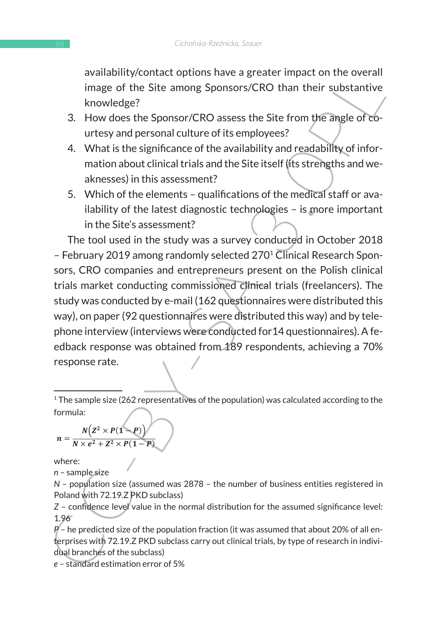availability/contact options have a greater impact on the overall image of the Site among Sponsors/CRO than their substantive knowledge? The study was a survey conducted in  $\mathcal{L}$ 

- 3. How does the Sponsor/CRO assess the Site from the angle of courtesy and personal culture of its employees?
- 4. What is the significance of the availability and readability of information about clinical trials and the Site itself (its strengths and weaknesses) in this assessment?  $\alpha$ <sub>NII</sub>C33C3) III GII3  $\alpha$ 33C33IIICIIL:
- 5. Which of the elements qualifications of the medical staff or availability of the latest diagnostic technologies – is more important in the Site's assessment?  $\frac{1}{2}$ ,  $\frac{1}{2}$

availability contract options have a greater millactic on the exertain<br>
image of the Site among Sponsors/CRO than their substantive<br>
knowledge?<br>
3. How does the Sponsor/CRO assess the Site from the amgle of co-<br>
urtesy an The tool used in the study was a survey conducted in October 2018 – February 2019 among randomly selected 270<sup>1</sup> Clinical Research Sponsors, CRO companies and entrepreneurs present on the Polish clinical trials market conducting commissioned clinical trials (freelancers). The study was conducted by e-mail (162 questionnaires were distributed this way), on paper (92 questionnaires were distributed this way) and by telephone interview (interviews were conducted for 14 questionnaires). A feedback response was obtained from 189 respondents, achieving a 70% response rate.  $I$  the case of units operation internationally of  $\mathcal{I}$ 

$$
n = \frac{N(Z^2 \times P(1-P))}{N \times e^2 + Z^2 \times P(1-P)}
$$

respondents gave the Site an overall rating of 4 (on a scale of 1-5, where 1 is the lowest and 5

where:

*n* – sample size (assumed was 2878 - the number of business registered in Poland with 72.19.2 PKD with 72.19.2 PKDD with 72.19.2 PKDD with 72.19.2 PKDD with 72.19.2 PKDD with 72.19.2 PKDD with 72.19.2 PKDD with 72.19.2 PK

*N* – population size (assumed was 2878 – the number of business entities registered in Poland with 72.19.Z PKD subclass)

*Z* – confidence level value in the normal distribution for the assumed significance level: 1.96  $P(A|\theta|s)$ 

> *P* – he predicted size of the population fraction (it was assumed that about 20% of all enterprises with 72.19.Z PKD subclass carry out clinical trials, by type of research in individual branches of the subclass)

*e* – standard estimation error of 5%

<sup>&</sup>lt;sup>1</sup> The sample size (262 representatives of the population) was calculated according to the formula:  $1$  formula: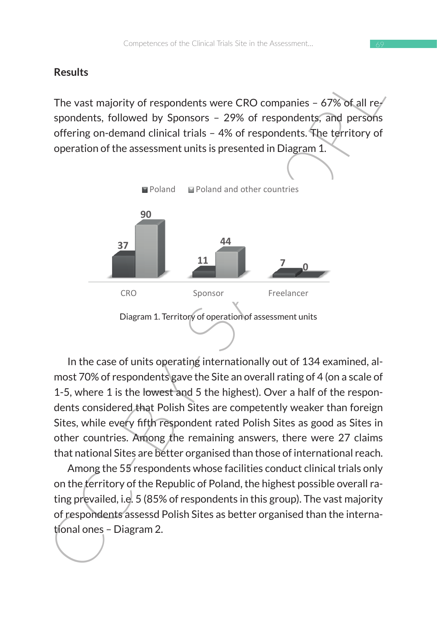#### **Results**

The vast majority of respondents were CRO companies  $-67\%$  of all respondents, followed by Sponsors – 29% of respondents, and persons offering on-demand clinical trials – 4% of respondents. The territory of operation of the assessment units is presented in Diagram 1.



In the case of units operating internationally out of 134 examined, almost 70% of respondents gave the Site an overall rating of 4 (on a scale of 1-5, where 1 is the lowest and 5 the highest). Over a half of the respondents considered that Polish Sites are competently weaker than foreign Sites, while every fifth respondent rated Polish Sites as good as Sites in other countries. Among the remaining answers, there were 27 claims that national Sites are better organised than those of international reach.

Among the 55 respondents whose facilities conduct clinical trials only on the territory of the Republic of Poland, the highest possible overall rating prevailed, i.e. 5 (85% of respondents in this group). The vast majority of respondents assessd Polish Sites as better organised than the international ones – Diagram 2.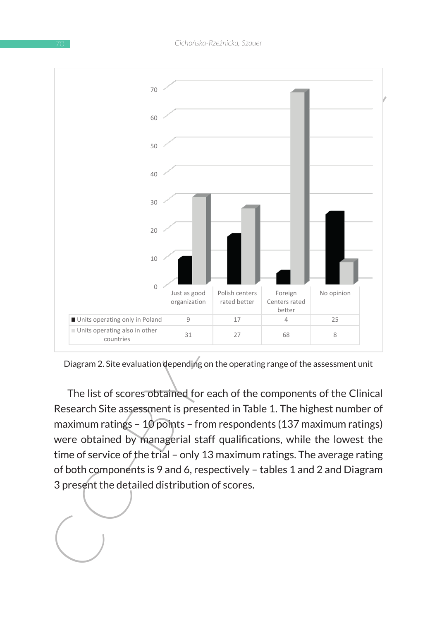

Diagram 2. Site evaluation depending on the operating range of the assessment unit Diagram 2. Site evaluation depending on the operating range of the assessment unit

The list of scores obtained for each of the components of the Clinical Research Site assessment is presented in Table 1. The highest number of maximum ratings – 10 points – from respondents (137 maximum ratings) were obtained by managerial staff qualifications, while the lowest the time of service of the trial – only 13 maximum ratings. The average rating of both components is 9 and 6, respectively – tables 1 and 2 and Diagram 3 present the detailed distribution of scores.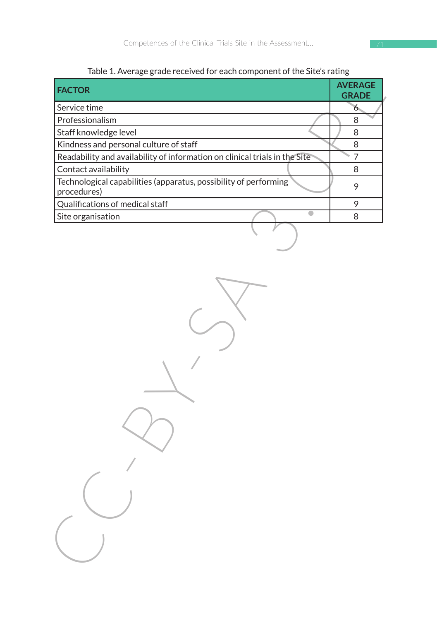| Table 1. Average grade received for each component of the Site's rating |  |  |
|-------------------------------------------------------------------------|--|--|
|                                                                         |  |  |

| <b>FACTOR</b>                                                                   | <b>AVERAGE</b><br><b>GRADE</b> |
|---------------------------------------------------------------------------------|--------------------------------|
| Service time                                                                    | 6                              |
| Professionalism                                                                 | 8                              |
| Staff knowledge level                                                           | 8                              |
| Kindness and personal culture of staff                                          | 8                              |
| Readability and availability of information on clinical trials in the Site      | $\overline{7}$                 |
| Contact availability                                                            | 8                              |
| Technological capabilities (apparatus, possibility of performing<br>procedures) | 9                              |
| Qualifications of medical staff                                                 | 9                              |
| Site organisation                                                               | 8                              |
|                                                                                 |                                |
|                                                                                 |                                |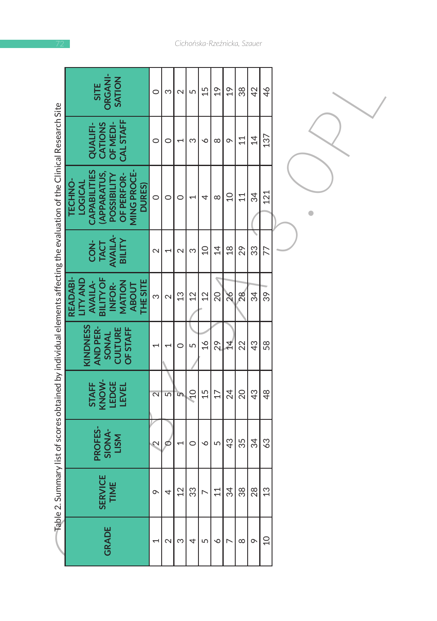|                                                                                                                             | ORGANI-<br>SATION<br><b>SITE</b>                                                                                            | $\circ$                  | S                        | $\mathbf{\Omega}$        | 5              | 15              | $\overline{61}$ | $\frac{6}{1}$  | 38       | $\overline{42}$ | 46             |  |
|-----------------------------------------------------------------------------------------------------------------------------|-----------------------------------------------------------------------------------------------------------------------------|--------------------------|--------------------------|--------------------------|----------------|-----------------|-----------------|----------------|----------|-----------------|----------------|--|
|                                                                                                                             | CAL STAFF<br><b>CATIONS</b><br>OF MEDI-<br><b>QUALIFI</b>                                                                   | $\circ$                  | $\circ$                  | $\overline{\phantom{0}}$ | ω              | $\check{\circ}$ | $\infty$        | $\sigma$       | 11       | $\overline{4}$  | 137            |  |
| $\mp$ able 2. Summary list of scores obtained by individual elements affecting the evaluation of the Clinical Research Site | CAPABILITIES<br><b>MING PROCE-</b><br><b>APPARATUS,</b><br>OF PERFOR-<br>POSSIBILITY<br><b>TECHNO-</b><br>LOGICAL<br>DURES) | $\circ$                  | $\circ$                  | $\circ$                  | $\overline{ }$ | 4               | ${}^{\circ}$    | $\overline{C}$ | 11       | 34              | 121            |  |
|                                                                                                                             | <b>AVAILA-</b><br>BILITY<br>CON-<br><b>TACT</b>                                                                             | $\sim$                   | $\overline{\phantom{0}}$ | $\sim$                   | S              | $\overline{C}$  | $\overline{4}$  | $\frac{8}{18}$ | 29       | 33              | 77             |  |
|                                                                                                                             | <b>BILITY OF</b><br><b>LITY AND</b><br><b>THE SITE</b><br><b>READABI</b><br><b>AVAILA-</b><br>MATION<br>INFOR-<br>ABOUT     | S                        | $\mathbf{\Omega}$        | 13                       | 12             | 12              | $\overline{20}$ | $\frac{8}{2}$  | 28       | 34              | 39             |  |
|                                                                                                                             | KINDNESS<br><b>AND PER-</b><br>CULTURE<br><b>OF STAFF</b><br>SONAL                                                          | $\overline{ }$           | $\overline{\phantom{0}}$ | 0                        | 5              | $\frac{1}{6}$   | 29              | ₫              | 22       | 43              | 58             |  |
|                                                                                                                             | STAFF<br>KNOW-<br>LEDGE<br><b>LEVEL</b>                                                                                     | $\overline{\mathsf{c}}$  | 5                        | m                        | $\Omega$       | 15              | 17              | 24             | 20       | 43              | 48             |  |
|                                                                                                                             | PROFES-<br>SIONA-<br><b>LISM</b>                                                                                            | $\sim$                   | ø                        | $\overline{\phantom{0}}$ | $\circ$        | P               | 5               | 43             | 35       | 34              | 63             |  |
|                                                                                                                             | <b>SERVICE</b><br><b>TIME</b>                                                                                               | $\sigma$                 | 4                        | 12                       | 33             | $\overline{ }$  | 11              | 34             | 38       | 28              | 13             |  |
|                                                                                                                             | <b>GRADE</b>                                                                                                                | $\overline{\phantom{0}}$ | $\mathbf 2$              | က                        | 4              | 5               | ∾               | r              | $\infty$ | $\circ$         | $\overline{C}$ |  |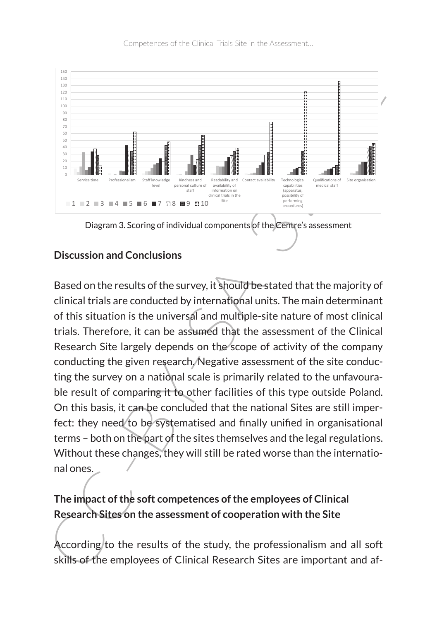Competences of the Clinical Trials Site in the Assessment…



#### **Discussion and Conclusions**

Example the state of the state of the state of the state of the state of the state of the state of the state of the state of the state of the state of the state of the state of the state of the state of the state of the st Based on the results of the survey, it should be stated that the majority of clinical trials are conducted by international units. The main determinant of this situation is the universal and multiple-site nature of most clinical trials. Therefore, it can be assumed that the assessment of the Clinical Research Site largely depends on the scope of activity of the company conducting the given research. Negative assessment of the site conducting the survey on a national scale is primarily related to the unfavourable result of comparing it to other facilities of this type outside Poland. On this basis, it can be concluded that the national Sites are still imperfect: they need to be systematised and finally unified in organisational terms – both on the part of the sites themselves and the legal regulations. Without these changes, they will still be rated worse than the international ones.

## **The impact of the soft competences of the employees of Clinical Research Sites on the assessment of cooperation with the Site**

According to the results of the study, the professionalism and all soft skills of the employees of Clinical Research Sites are important and af-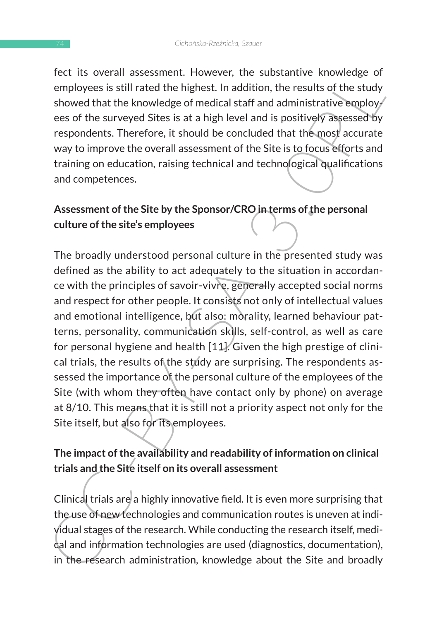fect its overall assessment. However, the substantive knowledge of employees is still rated the highest. In addition, the results of the study showed that the knowledge of medical staff and administrative employees of the surveyed Sites is at a high level and is positively assessed by respondents. Therefore, it should be concluded that the most accurate way to improve the overall assessment of the Site is to focus efforts and training on education, raising technical and technological qualifications and competences.

## **Assessment of the Site by the Sponsor/CRO in terms of the personal culture of the site's employees**

Fig. to twell all assessment. Thowever, the sousstantive knowledge on<br>employees is still rated the highest. In addition, the results of the study<br>showed that the knowledge of medical staff and administrative employes<br>resor The broadly understood personal culture in the presented study was defined as the ability to act adequately to the situation in accordance with the principles of savoir-vivre, generally accepted social norms and respect for other people. It consists not only of intellectual values and emotional intelligence, but also: morality, learned behaviour patterns, personality, communication skills, self-control, as well as care for personal hygiene and health [11]. Given the high prestige of clinical trials, the results of the study are surprising. The respondents assessed the importance of the personal culture of the employees of the Site (with whom they often have contact only by phone) on average at 8/10. This means that it is still not a priority aspect not only for the Site itself, but also for its employees.

### **The impact of the availability and readability of information on clinical trials and the Site itself on its overall assessment**

Clinical trials are a highly innovative field. It is even more surprising that the use of new technologies and communication routes is uneven at individual stages of the research. While conducting the research itself, medical and information technologies are used (diagnostics, documentation), in the research administration, knowledge about the Site and broadly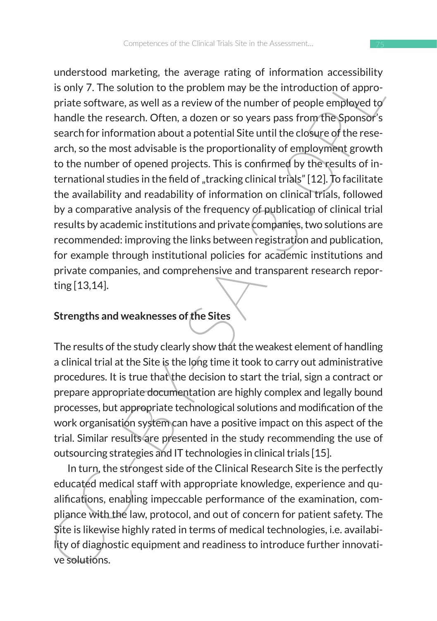incrision in a kerup; the average laring on intornates interpretical information accession in the solution is only 7. The solution to the problem may be the introduction of appropriate software, as well as a review of the understood marketing, the average rating of information accessibility is only 7. The solution to the problem may be the introduction of appropriate software, as well as a review of the number of people employed to handle the research. Often, a dozen or so years pass from the Sponsor's search for information about a potential Site until the closure of the research, so the most advisable is the proportionality of employment growth to the number of opened projects. This is confirmed by the results of international studies in the field of "tracking clinical trials" [12]. To facilitate the availability and readability of information on clinical trials, followed by a comparative analysis of the frequency of publication of clinical trial results by academic institutions and private companies, two solutions are recommended: improving the links between registration and publication, for example through institutional policies for academic institutions and private companies, and comprehensive and transparent research reporting [13,14].

## **Strengths and weaknesses of the Sites**

The results of the study clearly show that the weakest element of handling a clinical trial at the Site is the long time it took to carry out administrative procedures. It is true that the decision to start the trial, sign a contract or prepare appropriate documentation are highly complex and legally bound processes, but appropriate technological solutions and modification of the work organisation system can have a positive impact on this aspect of the trial. Similar results are presented in the study recommending the use of outsourcing strategies and IT technologies in clinical trials [15].

In turn, the strongest side of the Clinical Research Site is the perfectly educated medical staff with appropriate knowledge, experience and qualifications, enabling impeccable performance of the examination, compliance with the law, protocol, and out of concern for patient safety. The Site is likewise highly rated in terms of medical technologies, i.e. availability of diagnostic equipment and readiness to introduce further innovative solutions.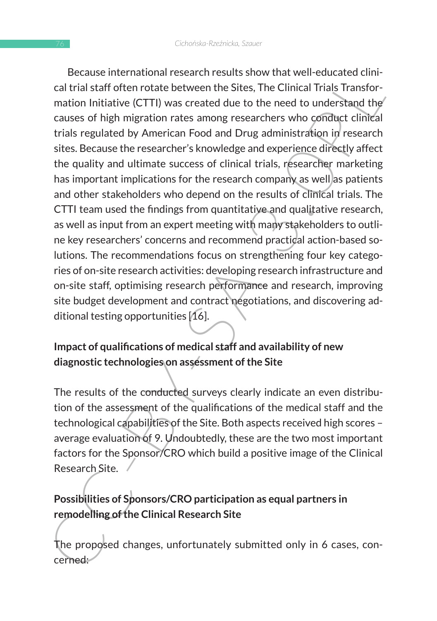because initial unitarizes and research persists. Show that we held trails taff often rotate between the Sites, The Clinical Trials Transformation Initiative (CTTI) was created due to the need to understand the causes of h Because international research results show that well-educated clinical trial staff often rotate between the Sites, The Clinical Trials Transformation Initiative (CTTI) was created due to the need to understand the causes of high migration rates among researchers who conduct clinical trials regulated by American Food and Drug administration in research sites. Because the researcher's knowledge and experience directly affect the quality and ultimate success of clinical trials, researcher marketing has important implications for the research company as well as patients and other stakeholders who depend on the results of clinical trials. The CTTI team used the findings from quantitative and qualitative research, as well as input from an expert meeting with many stakeholders to outline key researchers' concerns and recommend practical action-based solutions. The recommendations focus on strengthening four key categories of on-site research activities: developing research infrastructure and on-site staff, optimising research performance and research, improving site budget development and contract negotiations, and discovering additional testing opportunities [16].

### **Impact of qualifications of medical staff and availability of new diagnostic technologies on assessment of the Site**

The results of the conducted surveys clearly indicate an even distribution of the assessment of the qualifications of the medical staff and the technological capabilities of the Site. Both aspects received high scores – average evaluation of 9. Undoubtedly, these are the two most important factors for the Sponsor/CRO which build a positive image of the Clinical Research Site.

# **Possibilities of Sponsors/CRO participation as equal partners in remodelling of the Clinical Research Site**

The proposed changes, unfortunately submitted only in 6 cases, concerned: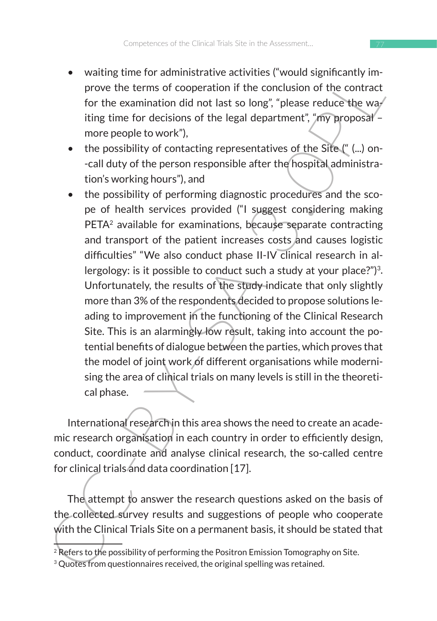- waiting time for administrative activities ("would significantly improve the terms of cooperation if the conclusion of the contract for the examination did not last so long", "please reduce the waiting time for decisions of the legal department", "my proposal – more people to work"),
- the possibility of contacting representatives of the Site ("(...) on--call duty of the person responsible after the hospital administration's working hours"), and
- watum univariated watch and the conduct substitute of the conduct provide terms of cooperation if the conduction of the contract<br>for the examination did not last so long", "please reduce the way<br>ting time for decisions • the possibility of performing diagnostic procedures and the scope of health services provided ("I suggest considering making PETA<sup>2</sup> available for examinations, because separate contracting and transport of the patient increases costs and causes logistic difficulties" "We also conduct phase II-IV clinical research in allergology: is it possible to conduct such a study at your place?")<sup>3</sup>. Unfortunately, the results of the study indicate that only slightly more than 3% of the respondents decided to propose solutions leading to improvement in the functioning of the Clinical Research Site. This is an alarmingly low result, taking into account the potential benefits of dialogue between the parties, which proves that the model of joint work of different organisations while modernising the area of clinical trials on many levels is still in the theoretical phase.

International research in this area shows the need to create an academic research organisation in each country in order to efficiently design, conduct, coordinate and analyse clinical research, the so-called centre for clinical trials and data coordination [17].

The attempt to answer the research questions asked on the basis of the collected survey results and suggestions of people who cooperate with the Clinical Trials Site on a permanent basis, it should be stated that

 $2$  Refers to the possibility of performing the Positron Emission Tomography on Site.

<sup>&</sup>lt;sup>3</sup> Quotes from questionnaires received, the original spelling was retained.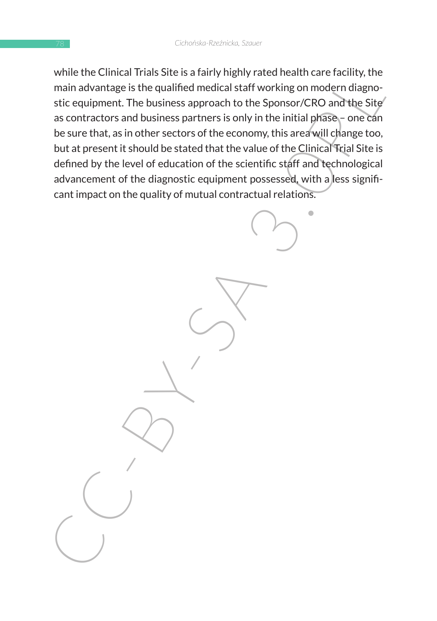with the Clinical Trials Site Is a Jarry mighty rate of the spherical theories and the spherical trials of the spherical tradition of the Spherical Trials and the Step site equipment. The business approach to the Sponsor/C while the Clinical Trials Site is a fairly highly rated health care facility, the main advantage is the qualified medical staff working on modern diagnostic equipment. The business approach to the Sponsor/CRO and the Site as contractors and business partners is only in the initial phase – one can be sure that, as in other sectors of the economy, this area will change too, but at present it should be stated that the value of the Clinical Trial Site is defined by the level of education of the scientific staff and technological advancement of the diagnostic equipment possessed, with a less significant impact on the quality of mutual contractual relations.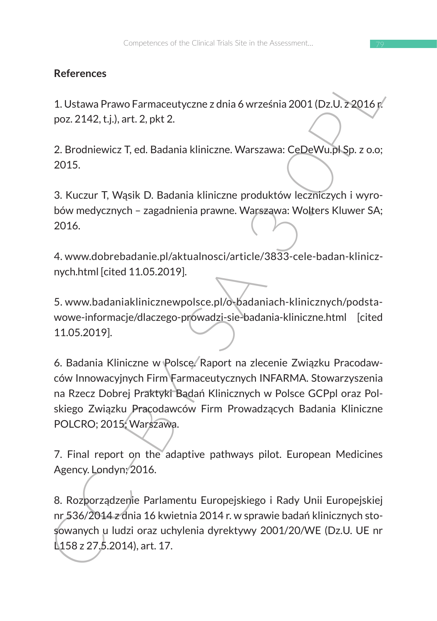#### **References**

1. Ustawa Prawo Farmaceutyczne z dnia 6 września 2001 (Dz.U. z 2016 r. poz. 2142, t.j.), art. 2, pkt 2.

2. Brodniewicz T, ed. Badania kliniczne. Warszawa: CeDeWu.pl Sp. z o.o; 2015.

3. Kuczur T, Wąsik D. Badania kliniczne produktów leczniczych i wyrobów medycznych – zagadnienia prawne. Warszawa: Wolters Kluwer SA; 2016.

4. www.dobrebadanie.pl/aktualnosci/article/3833-cele-badan-klinicznych.html [cited 11.05.2019].

5. www.badaniaklinicznewpolsce.pl/o-badaniach-klinicznych/podstawowe-informacje/dlaczego-prowadzi-sie-badania-kliniczne.html [cited 11.05.2019].

References<br>
1. Ustawa Prawo Farmaceutyczne z dnia 6 września 2001 (Dz.U. z 2016 p/<br>
poz. 2142, t.j.), art. 2, pkt 2.<br>
2. Brodniewicz T, ed. Badania kliniczne. Warszawa: CeDeWu, PNSp. z o.o;<br>
2015.<br>
3. Kuczur T, Wąsik D. Ba 6. Badania Kliniczne w Polsce. Raport na zlecenie Związku Pracodawców Innowacyjnych Firm Farmaceutycznych INFARMA. Stowarzyszenia na Rzecz Dobrej Praktyki Badań Klinicznych w Polsce GCPpl oraz Polskiego Związku Pracodawców Firm Prowadzących Badania Kliniczne POLCRO; 2015; Warszawa.

7. Final report on the adaptive pathways pilot. European Medicines Agency. Londyn; 2016.

8. Rozporządzenie Parlamentu Europejskiego i Rady Unii Europejskiej nr 536/2014 z dnia 16 kwietnia 2014 r. w sprawie badań klinicznych stosowanych u ludzi oraz uchylenia dyrektywy 2001/20/WE (Dz.U. UE nr L<sub>158</sub> z 27.5.2014), art. 17.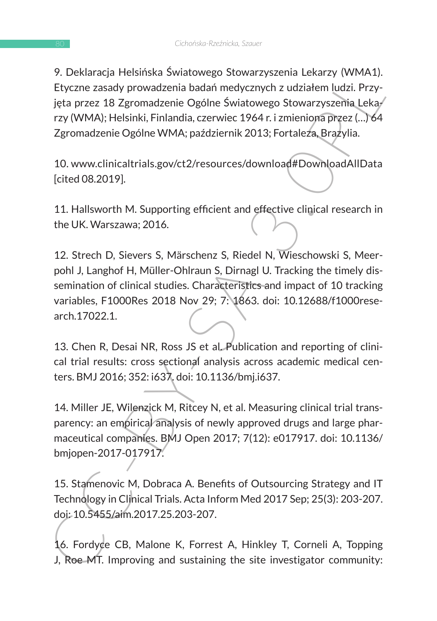9. Deklaracja Helsińska Światowego Stowarzyszenia Lekarzy (WMA1). Etyczne zasady prowadzenia badań medycznych z udziałem ludzi. Przyjęta przez 18 Zgromadzenie Ogólne Światowego Stowarzyszenia Lekarzy (WMA); Helsinki, Finlandia, czerwiec 1964 r. i zmieniona przez (…) 64 Zgromadzenie Ogólne WMA; październik 2013; Fortaleza, Brazylia.

10. www.clinicaltrials.gov/ct2/resources/download#DownloadAllData [cited 08.2019].

11. Hallsworth M. Supporting efficient and effective clinical research in the UK. Warszawa; 2016.

9. Jositaral entshinska a wintúwego Suowarzyszelma Lekarzy (wwintiji)<br>Etyczne zasady prowadzenia badań medycznych z udziałem ludzi. Przy-<br>jęta przez 18 Zgromadzenie Ogólne Światowego Stowarzyszelnia Lekarzy (WMA); Helsinki 12. Strech D, Sievers S, Märschenz S, Riedel N, Wieschowski S, Meerpohl J, Langhof H, Müller-Ohlraun S, Dirnagl U. Tracking the timely dissemination of clinical studies. Characteristics and impact of 10 tracking variables, F1000Res 2018 Nov 29; 7: 1863. doi: 10.12688/f1000research.17022.1.

13. Chen R, Desai NR, Ross JS et al. Publication and reporting of clinical trial results: cross sectional analysis across academic medical centers. BMJ 2016; 352: i637. doi: 10.1136/bmj.i637.

14. Miller JE, Wilenzick M, Ritcey N, et al. Measuring clinical trial transparency: an empirical analysis of newly approved drugs and large pharmaceutical companies. BMJ Open 2017; 7(12): e017917. doi: 10.1136/ bmjopen-2017-017917.

15. Stamenovic M, Dobraca A. Benefits of Outsourcing Strategy and IT Technology in Clinical Trials. Acta Inform Med 2017 Sep; 25(3): 203-207. doi: 10.5455/aim.2017.25.203-207.

16. Fordyce CB, Malone K, Forrest A, Hinkley T, Corneli A, Topping J, Roe MT. Improving and sustaining the site investigator community: